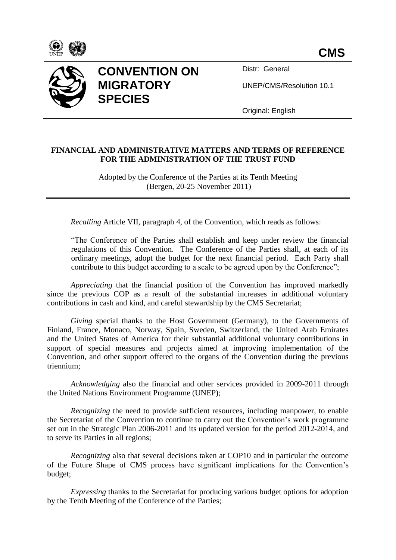



## **CONVENTION ON MIGRATORY SPECIES**

Distr: General

UNEP/CMS/Resolution 10.1

Original: English

## **FINANCIAL AND ADMINISTRATIVE MATTERS AND TERMS OF REFERENCE FOR THE ADMINISTRATION OF THE TRUST FUND**

Adopted by the Conference of the Parties at its Tenth Meeting (Bergen, 20-25 November 2011)

*Recalling* Article VII, paragraph 4, of the Convention, which reads as follows:

"The Conference of the Parties shall establish and keep under review the financial regulations of this Convention. The Conference of the Parties shall, at each of its ordinary meetings, adopt the budget for the next financial period. Each Party shall contribute to this budget according to a scale to be agreed upon by the Conference";

*Appreciating* that the financial position of the Convention has improved markedly since the previous COP as a result of the substantial increases in additional voluntary contributions in cash and kind, and careful stewardship by the CMS Secretariat;

*Giving* special thanks to the Host Government (Germany), to the Governments of Finland, France, Monaco, Norway, Spain, Sweden, Switzerland, the United Arab Emirates and the United States of America for their substantial additional voluntary contributions in support of special measures and projects aimed at improving implementation of the Convention, and other support offered to the organs of the Convention during the previous triennium;

*Acknowledging* also the financial and other services provided in 2009-2011 through the United Nations Environment Programme (UNEP);

*Recognizing* the need to provide sufficient resources, including manpower, to enable the Secretariat of the Convention to continue to carry out the Convention's work programme set out in the Strategic Plan 2006-2011 and its updated version for the period 2012-2014, and to serve its Parties in all regions;

*Recognizing* also that several decisions taken at COP10 and in particular the outcome of the Future Shape of CMS process have significant implications for the Convention's budget;

*Expressing* thanks to the Secretariat for producing various budget options for adoption by the Tenth Meeting of the Conference of the Parties;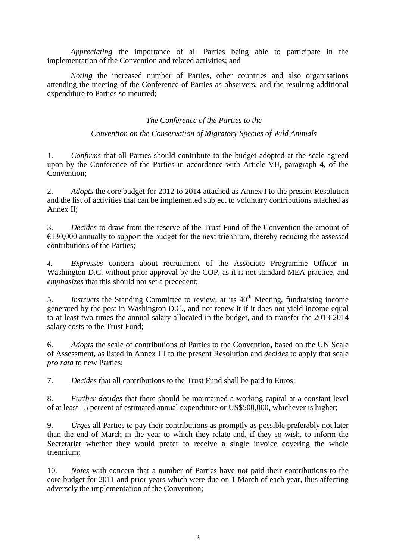*Appreciating* the importance of all Parties being able to participate in the implementation of the Convention and related activities; and

*Noting* the increased number of Parties, other countries and also organisations attending the meeting of the Conference of Parties as observers, and the resulting additional expenditure to Parties so incurred;

## *The Conference of the Parties to the*

## *Convention on the Conservation of Migratory Species of Wild Animals*

1. *Confirms* that all Parties should contribute to the budget adopted at the scale agreed upon by the Conference of the Parties in accordance with Article VII, paragraph 4, of the Convention;

2. *Adopts* the core budget for 2012 to 2014 attached as Annex I to the present Resolution and the list of activities that can be implemented subject to voluntary contributions attached as Annex II;

3. *Decides* to draw from the reserve of the Trust Fund of the Convention the amount of  $€130,000$  annually to support the budget for the next triennium, thereby reducing the assessed contributions of the Parties;

4. *Expresses* concern about recruitment of the Associate Programme Officer in Washington D.C. without prior approval by the COP, as it is not standard MEA practice, and *emphasizes* that this should not set a precedent;

5. *Instructs* the Standing Committee to review, at its 40<sup>th</sup> Meeting, fundraising income generated by the post in Washington D.C., and not renew it if it does not yield income equal to at least two times the annual salary allocated in the budget, and to transfer the 2013-2014 salary costs to the Trust Fund;

6. *Adopts* the scale of contributions of Parties to the Convention, based on the UN Scale of Assessment, as listed in Annex III to the present Resolution and *decides* to apply that scale *pro rata* to new Parties;

7. *Decides* that all contributions to the Trust Fund shall be paid in Euros;

8. *Further decides* that there should be maintained a working capital at a constant level of at least 15 percent of estimated annual expenditure or US\$500,000, whichever is higher;

9. *Urges* all Parties to pay their contributions as promptly as possible preferably not later than the end of March in the year to which they relate and, if they so wish, to inform the Secretariat whether they would prefer to receive a single invoice covering the whole triennium;

10. *Notes* with concern that a number of Parties have not paid their contributions to the core budget for 2011 and prior years which were due on 1 March of each year, thus affecting adversely the implementation of the Convention;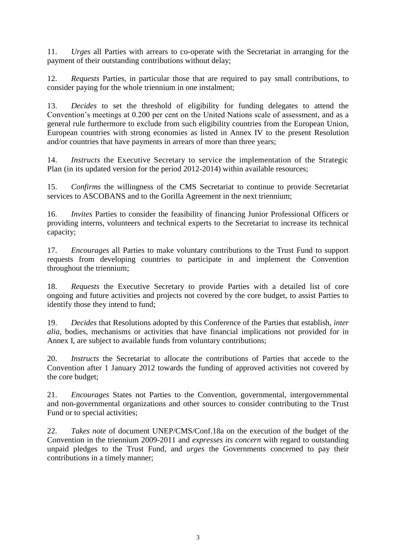11. *Urges* all Parties with arrears to co-operate with the Secretariat in arranging for the payment of their outstanding contributions without delay;

12. *Requests* Parties, in particular those that are required to pay small contributions, to consider paying for the whole triennium in one instalment;

13. *Decides* to set the threshold of eligibility for funding delegates to attend the Convention's meetings at 0.200 per cent on the United Nations scale of assessment, and as a general rule furthermore to exclude from such eligibility countries from the European Union, European countries with strong economies as listed in Annex IV to the present Resolution and/or countries that have payments in arrears of more than three years;

14. *Instructs* the Executive Secretary to service the implementation of the Strategic Plan (in its updated version for the period 2012-2014) within available resources;

15. *Confirms* the willingness of the CMS Secretariat to continue to provide Secretariat services to ASCOBANS and to the Gorilla Agreement in the next triennium;

16. *Invites* Parties to consider the feasibility of financing Junior Professional Officers or providing interns, volunteers and technical experts to the Secretariat to increase its technical capacity;

17. *Encourages* all Parties to make voluntary contributions to the Trust Fund to support requests from developing countries to participate in and implement the Convention throughout the triennium;

18. *Requests* the Executive Secretary to provide Parties with a detailed list of core ongoing and future activities and projects not covered by the core budget, to assist Parties to identify those they intend to fund;

19. *Decides* that Resolutions adopted by this Conference of the Parties that establish, *inter alia*, bodies, mechanisms or activities that have financial implications not provided for in Annex I, are subject to available funds from voluntary contributions;

20. *Instructs* the Secretariat to allocate the contributions of Parties that accede to the Convention after 1 January 2012 towards the funding of approved activities not covered by the core budget;

21. *Encourages* States not Parties to the Convention, governmental, intergovernmental and non-governmental organizations and other sources to consider contributing to the Trust Fund or to special activities;

22. *Takes note* of document UNEP/CMS/Conf.18a on the execution of the budget of the Convention in the triennium 2009-2011 and *expresses its concern* with regard to outstanding unpaid pledges to the Trust Fund, and *urges* the Governments concerned to pay their contributions in a timely manner;